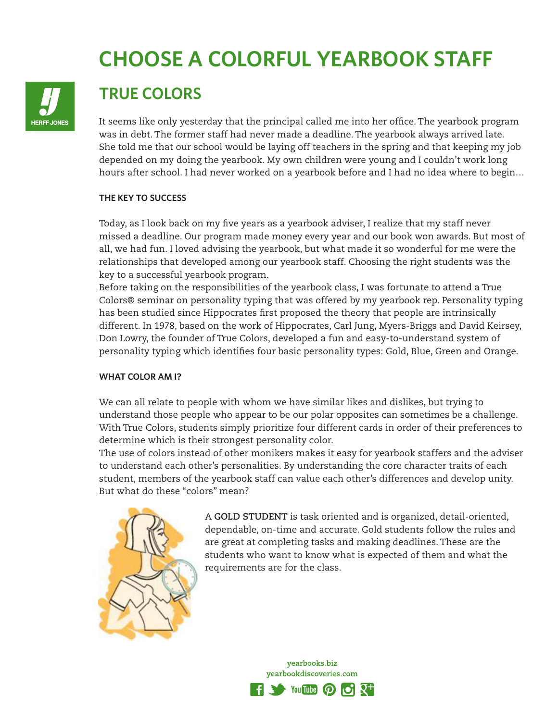# **CHOOSE A COLORFUL YEARBOOK STAFF**



## **TRUE COLORS**

It seems like only yesterday that the principal called me into her office. The yearbook program was in debt. The former staff had never made a deadline. The yearbook always arrived late. She told me that our school would be laying off teachers in the spring and that keeping my job depended on my doing the yearbook. My own children were young and I couldn't work long hours after school. I had never worked on a yearbook before and I had no idea where to begin…

#### **THE KEY TO SUCCESS**

Today, as I look back on my five years as a yearbook adviser, I realize that my staff never missed a deadline. Our program made money every year and our book won awards. But most of all, we had fun. I loved advising the yearbook, but what made it so wonderful for me were the relationships that developed among our yearbook staff. Choosing the right students was the key to a successful yearbook program.

Before taking on the responsibilities of the yearbook class, I was fortunate to attend a True Colors® seminar on personality typing that was offered by my yearbook rep. Personality typing has been studied since Hippocrates first proposed the theory that people are intrinsically different. In 1978, based on the work of Hippocrates, Carl Jung, Myers-Briggs and David Keirsey, Don Lowry, the founder of True Colors, developed a fun and easy-to-understand system of personality typing which identifies four basic personality types: Gold, Blue, Green and Orange.

### **WHAT COLOR AM I?**

We can all relate to people with whom we have similar likes and dislikes, but trying to understand those people who appear to be our polar opposites can sometimes be a challenge. With True Colors, students simply prioritize four different cards in order of their preferences to determine which is their strongest personality color.

The use of colors instead of other monikers makes it easy for yearbook staffers and the adviser to understand each other's personalities. By understanding the core character traits of each student, members of the yearbook staff can value each other's differences and develop unity. But what do these "colors" mean?



A **GOLD STUDENT** is task oriented and is organized, detail-oriented, dependable, on-time and accurate. Gold students follow the rules and are great at completing tasks and making deadlines. These are the students who want to know what is expected of them and what the requirements are for the class.

> yearbooks.biz yearbookdiscoveries.com

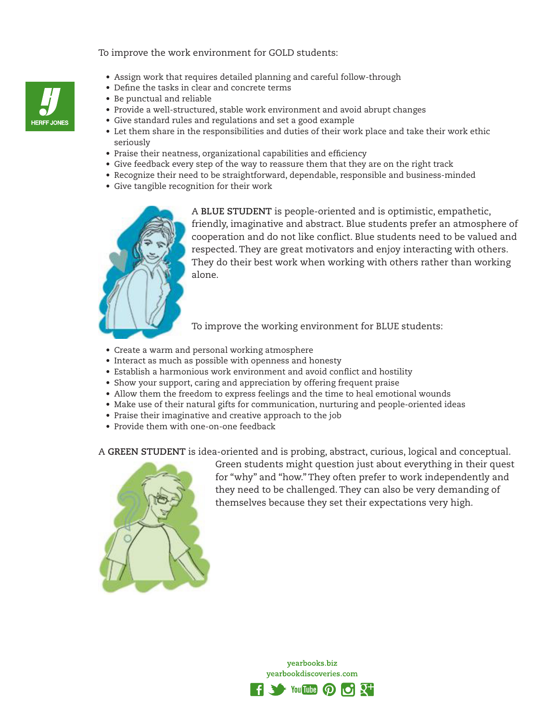#### To improve the work environment for GOLD students:

- Assign work that requires detailed planning and careful follow-through
- Define the tasks in clear and concrete terms
- Be punctual and reliable
- Provide a well-structured, stable work environment and avoid abrupt changes
- Give standard rules and regulations and set a good example
- Let them share in the responsibilities and duties of their work place and take their work ethic seriously
- Praise their neatness, organizational capabilities and efficiency
- Give feedback every step of the way to reassure them that they are on the right track
- Recognize their need to be straightforward, dependable, responsible and business-minded
- Give tangible recognition for their work



A **BLUE STUDENT** is people-oriented and is optimistic, empathetic, friendly, imaginative and abstract. Blue students prefer an atmosphere of cooperation and do not like conflict. Blue students need to be valued and respected. They are great motivators and enjoy interacting with others. They do their best work when working with others rather than working alone.

To improve the working environment for BLUE students:

- Create a warm and personal working atmosphere
- Interact as much as possible with openness and honesty
- Establish a harmonious work environment and avoid conflict and hostility
- Show your support, caring and appreciation by offering frequent praise
- Allow them the freedom to express feelings and the time to heal emotional wounds
- Make use of their natural gifts for communication, nurturing and people-oriented ideas
- Praise their imaginative and creative approach to the job
- Provide them with one-on-one feedback

A **GREEN STUDENT** is idea-oriented and is probing, abstract, curious, logical and conceptual.



Green students might question just about everything in their quest for "why" and "how." They often prefer to work independently and they need to be challenged. They can also be very demanding of themselves because they set their expectations very high.

> yearbooks.biz yearbookdiscoveries.com



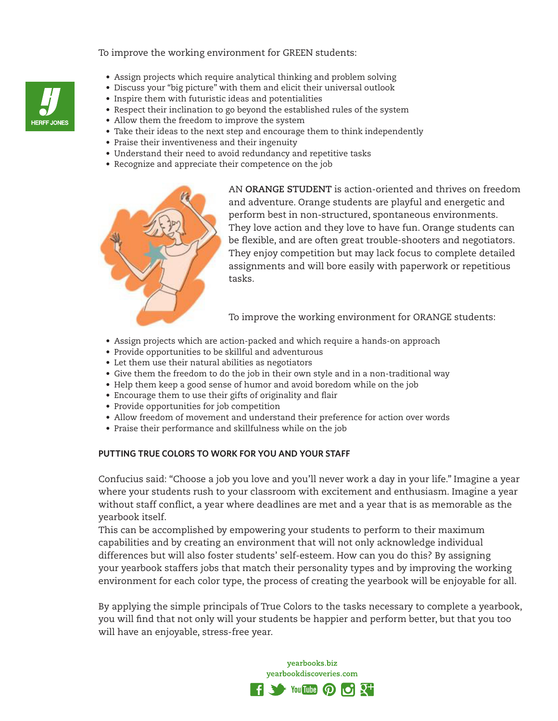To improve the working environment for GREEN students:

- Assign projects which require analytical thinking and problem solving
- Discuss your "big picture" with them and elicit their universal outlook
- Inspire them with futuristic ideas and potentialities
- Respect their inclination to go beyond the established rules of the system
- Allow them the freedom to improve the system
- Take their ideas to the next step and encourage them to think independently
- Praise their inventiveness and their ingenuity
- Understand their need to avoid redundancy and repetitive tasks
- Recognize and appreciate their competence on the job



AN **ORANGE STUDENT** is action-oriented and thrives on freedom and adventure. Orange students are playful and energetic and perform best in non-structured, spontaneous environments. They love action and they love to have fun. Orange students can be flexible, and are often great trouble-shooters and negotiators. They enjoy competition but may lack focus to complete detailed assignments and will bore easily with paperwork or repetitious tasks.

To improve the working environment for ORANGE students:

- Assign projects which are action-packed and which require a hands-on approach
- Provide opportunities to be skillful and adventurous
- Let them use their natural abilities as negotiators
- Give them the freedom to do the job in their own style and in a non-traditional way
- Help them keep a good sense of humor and avoid boredom while on the job
- Encourage them to use their gifts of originality and flair
- Provide opportunities for job competition
- Allow freedom of movement and understand their preference for action over words
- Praise their performance and skillfulness while on the job

### **PUTTING TRUE COLORS TO WORK FOR YOU AND YOUR STAFF**

Confucius said: "Choose a job you love and you'll never work a day in your life." Imagine a year where your students rush to your classroom with excitement and enthusiasm. Imagine a year without staff conflict, a year where deadlines are met and a year that is as memorable as the yearbook itself.

This can be accomplished by empowering your students to perform to their maximum capabilities and by creating an environment that will not only acknowledge individual differences but will also foster students' self-esteem. How can you do this? By assigning your yearbook staffers jobs that match their personality types and by improving the working environment for each color type, the process of creating the yearbook will be enjoyable for all.

By applying the simple principals of True Colors to the tasks necessary to complete a yearbook, you will find that not only will your students be happier and perform better, but that you too will have an enjoyable, stress-free year.